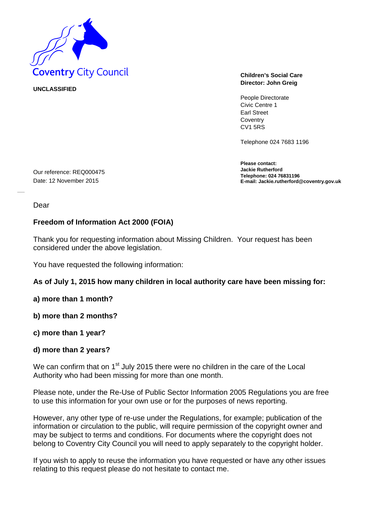

**UNCLASSIFIED** 

**Director: John Greig**

People Directorate Civic Centre 1 Earl Street **Coventry** CV1 5RS

Telephone 024 7683 1196

**Please contact: Jackie Rutherford Telephone: 024 76831196 E-mail: Jackie.rutherford@coventry.gov.uk**

Date: 12 November 2015

Our reference: REQ000475

Dear

## **Freedom of Information Act 2000 (FOIA)**

Thank you for requesting information about Missing Children. Your request has been considered under the above legislation.

You have requested the following information:

## **As of July 1, 2015 how many children in local authority care have been missing for:**

**a) more than 1 month?**

**b) more than 2 months?**

**c) more than 1 year?**

## **d) more than 2 years?**

We can confirm that on 1<sup>st</sup> July 2015 there were no children in the care of the Local Authority who had been missing for more than one month.

Please note, under the Re-Use of Public Sector Information 2005 Regulations you are free to use this information for your own use or for the purposes of news reporting.

However, any other type of re-use under the Regulations, for example; publication of the information or circulation to the public, will require permission of the copyright owner and may be subject to terms and conditions. For documents where the copyright does not belong to Coventry City Council you will need to apply separately to the copyright holder.

If you wish to apply to reuse the information you have requested or have any other issues relating to this request please do not hesitate to contact me.